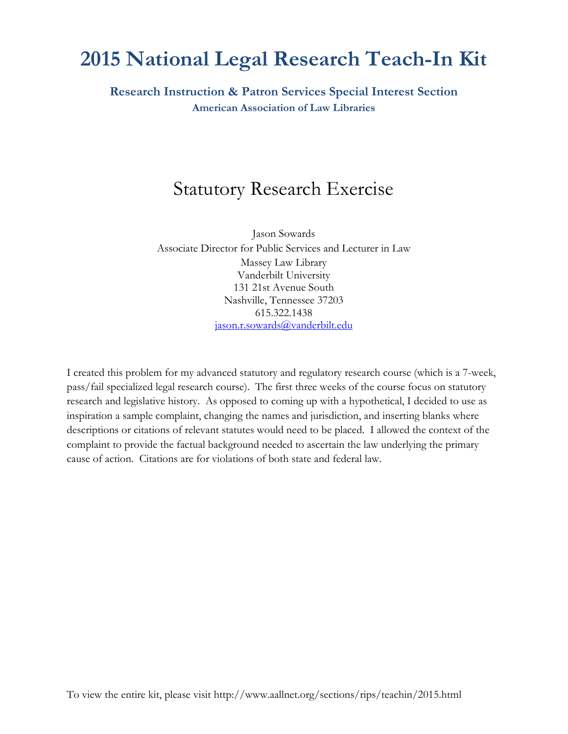# **2015 National Legal Research Teach-In Kit**

**Research Instruction & Patron Services Special Interest Section American Association of Law Libraries**

## Statutory Research Exercise

Jason Sowards Associate Director for Public Services and Lecturer in Law Massey Law Library Vanderbilt University 131 21st Avenue South Nashville, Tennessee 37203 615.322.1438 [jason.r.sowards@vanderbilt.edu](mailto:jason.r.sowards@vanderbilt.edu)

I created this problem for my advanced statutory and regulatory research course (which is a 7-week, pass/fail specialized legal research course). The first three weeks of the course focus on statutory research and legislative history. As opposed to coming up with a hypothetical, I decided to use as inspiration a sample complaint, changing the names and jurisdiction, and inserting blanks where descriptions or citations of relevant statutes would need to be placed. I allowed the context of the complaint to provide the factual background needed to ascertain the law underlying the primary cause of action. Citations are for violations of both state and federal law.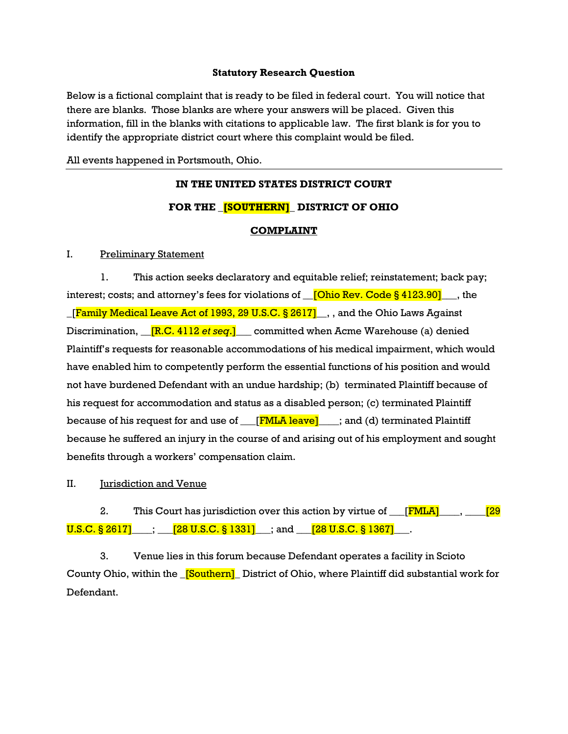### **Statutory Research Question**

Below is a fictional complaint that is ready to be filed in federal court. You will notice that there are blanks. Those blanks are where your answers will be placed. Given this information, fill in the blanks with citations to applicable law. The first blank is for you to identify the appropriate district court where this complaint would be filed.

All events happened in Portsmouth, Ohio.

## **IN THE UNITED STATES DISTRICT COURT FOR THE \_[SOUTHERN]\_ DISTRICT OF OHIO COMPLAINT**

#### I. Preliminary Statement

1. This action seeks declaratory and equitable relief; reinstatement; back pay; interest; costs; and attorney's fees for violations of  $\sqrt{\frac{(\text{Ohio Rev. Code § } 4123.90]}{\text{Orb.} }}$ , the **[Family Medical Leave Act of 1993, 29 U.S.C. § 2617]**, and the Ohio Laws Against Discrimination, <u>[R.C. 4112 *et seq*.]</u> committed when Acme Warehouse (a) denied Plaintiff's requests for reasonable accommodations of his medical impairment, which would have enabled him to competently perform the essential functions of his position and would not have burdened Defendant with an undue hardship; (b) terminated Plaintiff because of his request for accommodation and status as a disabled person; (c) terminated Plaintiff because of his request for and use of  $\Box$  [FMLA leave]  $\Box$ ; and (d) terminated Plaintiff because he suffered an injury in the course of and arising out of his employment and sought benefits through a workers' compensation claim.

II. **Iurisdiction and Venue** 

2. This Court has jurisdiction over this action by virtue of  $\boxed{\text{FMLA}}$ ,  $\boxed{\text{29}}$  $U.S.C. \$   $8\,2617$  |  $\qquad$  ;  $\qquad$  [28 U.S.C.  $\$  1331]  $\qquad$  ; and  $\qquad$  [28 U.S.C.  $\$  1367]  $\qquad$ .

3. Venue lies in this forum because Defendant operates a facility in Scioto County Ohio, within the \_[Southern]**\_** District of Ohio, where Plaintiff did substantial work for Defendant.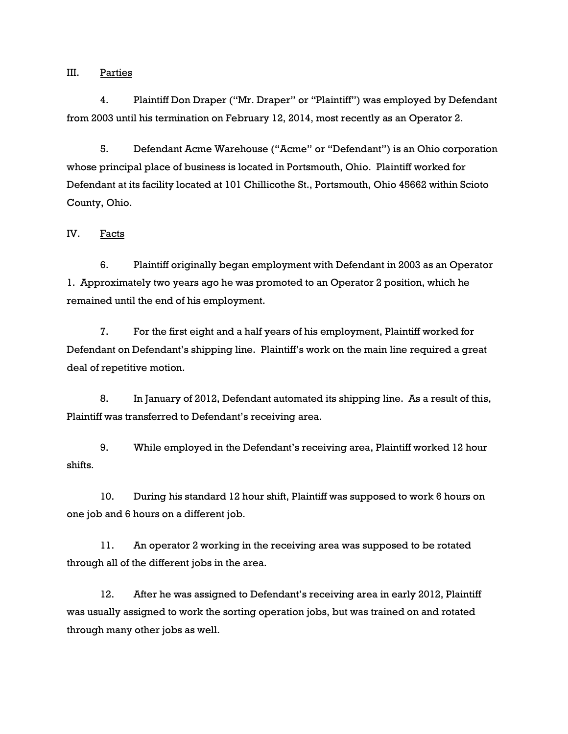III. Parties

4. Plaintiff Don Draper ("Mr. Draper" or "Plaintiff") was employed by Defendant from 2003 until his termination on February 12, 2014, most recently as an Operator 2.

5. Defendant Acme Warehouse ("Acme" or "Defendant") is an Ohio corporation whose principal place of business is located in Portsmouth, Ohio. Plaintiff worked for Defendant at its facility located at 101 Chillicothe St., Portsmouth, Ohio 45662 within Scioto County, Ohio.

IV. Facts

6. Plaintiff originally began employment with Defendant in 2003 as an Operator 1. Approximately two years ago he was promoted to an Operator 2 position, which he remained until the end of his employment.

7. For the first eight and a half years of his employment, Plaintiff worked for Defendant on Defendant's shipping line. Plaintiff's work on the main line required a great deal of repetitive motion.

8. In January of 2012, Defendant automated its shipping line. As a result of this, Plaintiff was transferred to Defendant's receiving area.

9. While employed in the Defendant's receiving area, Plaintiff worked 12 hour shifts.

10. During his standard 12 hour shift, Plaintiff was supposed to work 6 hours on one job and 6 hours on a different job.

11. An operator 2 working in the receiving area was supposed to be rotated through all of the different jobs in the area.

12. After he was assigned to Defendant's receiving area in early 2012, Plaintiff was usually assigned to work the sorting operation jobs, but was trained on and rotated through many other jobs as well.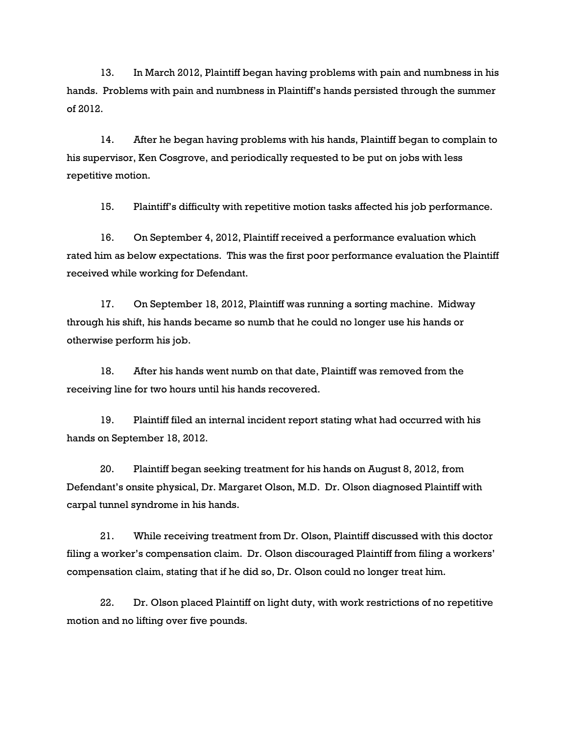13. In March 2012, Plaintiff began having problems with pain and numbness in his hands. Problems with pain and numbness in Plaintiff's hands persisted through the summer of 2012.

14. After he began having problems with his hands, Plaintiff began to complain to his supervisor, Ken Cosgrove, and periodically requested to be put on jobs with less repetitive motion.

15. Plaintiff's difficulty with repetitive motion tasks affected his job performance.

16. On September 4, 2012, Plaintiff received a performance evaluation which rated him as below expectations. This was the first poor performance evaluation the Plaintiff received while working for Defendant.

17. On September 18, 2012, Plaintiff was running a sorting machine. Midway through his shift, his hands became so numb that he could no longer use his hands or otherwise perform his job.

18. After his hands went numb on that date, Plaintiff was removed from the receiving line for two hours until his hands recovered.

19. Plaintiff filed an internal incident report stating what had occurred with his hands on September 18, 2012.

20. Plaintiff began seeking treatment for his hands on August 8, 2012, from Defendant's onsite physical, Dr. Margaret Olson, M.D. Dr. Olson diagnosed Plaintiff with carpal tunnel syndrome in his hands.

21. While receiving treatment from Dr. Olson, Plaintiff discussed with this doctor filing a worker's compensation claim. Dr. Olson discouraged Plaintiff from filing a workers' compensation claim, stating that if he did so, Dr. Olson could no longer treat him.

22. Dr. Olson placed Plaintiff on light duty, with work restrictions of no repetitive motion and no lifting over five pounds.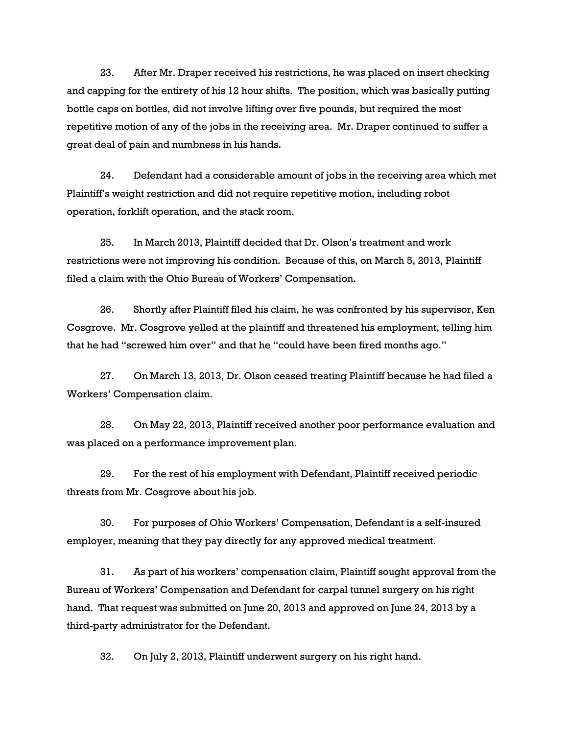23. After Mr. Draper received his restrictions, he was placed on insert checking and capping for the entirety of his 12 hour shifts. The position, which was basically putting bottle caps on bottles, did not involve lifting over five pounds, but required the most repetitive motion of any of the jobs in the receiving area. Mr. Draper continued to suffer a great deal of pain and numbness in his hands.

24. Defendant had a considerable amount of jobs in the receiving area which met Plaintiff's weight restriction and did not require repetitive motion, including robot operation, forklift operation, and the stack room.

25. In March 2013, Plaintiff decided that Dr. Olson's treatment and work restrictions were not improving his condition. Because of this, on March 5, 2013, Plaintiff filed a claim with the Ohio Bureau of Workers' Compensation.

26. Shortly after Plaintiff filed his claim, he was confronted by his supervisor, Ken Cosgrove. Mr. Cosgrove yelled at the plaintiff and threatened his employment, telling him that he had "screwed him over" and that he "could have been fired months ago."

27. On March 13, 2013, Dr. Olson ceased treating Plaintiff because he had filed a Workers' Compensation claim.

28. On May 22, 2013, Plaintiff received another poor performance evaluation and was placed on a performance improvement plan.

29. For the rest of his employment with Defendant, Plaintiff received periodic threats from Mr. Cosgrove about his job.

30. For purposes of Ohio Workers' Compensation, Defendant is a self-insured employer, meaning that they pay directly for any approved medical treatment.

31. As part of his workers' compensation claim, Plaintiff sought approval from the Bureau of Workers' Compensation and Defendant for carpal tunnel surgery on his right hand. That request was submitted on June 20, 2013 and approved on June 24, 2013 by a third-party administrator for the Defendant.

32. On July 2, 2013, Plaintiff underwent surgery on his right hand.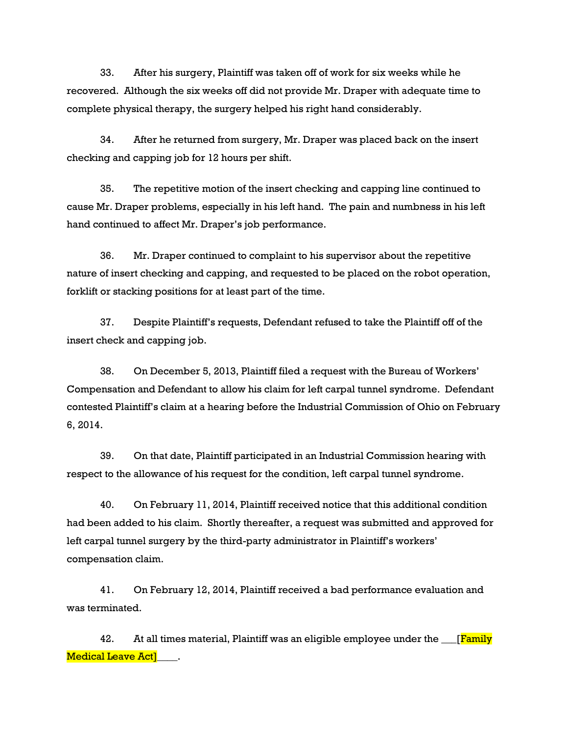33. After his surgery, Plaintiff was taken off of work for six weeks while he recovered. Although the six weeks off did not provide Mr. Draper with adequate time to complete physical therapy, the surgery helped his right hand considerably.

34. After he returned from surgery, Mr. Draper was placed back on the insert checking and capping job for 12 hours per shift.

35. The repetitive motion of the insert checking and capping line continued to cause Mr. Draper problems, especially in his left hand. The pain and numbness in his left hand continued to affect Mr. Draper's job performance.

36. Mr. Draper continued to complaint to his supervisor about the repetitive nature of insert checking and capping, and requested to be placed on the robot operation, forklift or stacking positions for at least part of the time.

37. Despite Plaintiff's requests, Defendant refused to take the Plaintiff off of the insert check and capping job.

38. On December 5, 2013, Plaintiff filed a request with the Bureau of Workers' Compensation and Defendant to allow his claim for left carpal tunnel syndrome. Defendant contested Plaintiff's claim at a hearing before the Industrial Commission of Ohio on February 6, 2014.

39. On that date, Plaintiff participated in an Industrial Commission hearing with respect to the allowance of his request for the condition, left carpal tunnel syndrome.

40. On February 11, 2014, Plaintiff received notice that this additional condition had been added to his claim. Shortly thereafter, a request was submitted and approved for left carpal tunnel surgery by the third-party administrator in Plaintiff's workers' compensation claim.

41. On February 12, 2014, Plaintiff received a bad performance evaluation and was terminated.

42. At all times material, Plaintiff was an eligible employee under the [Family] Medical Leave Act]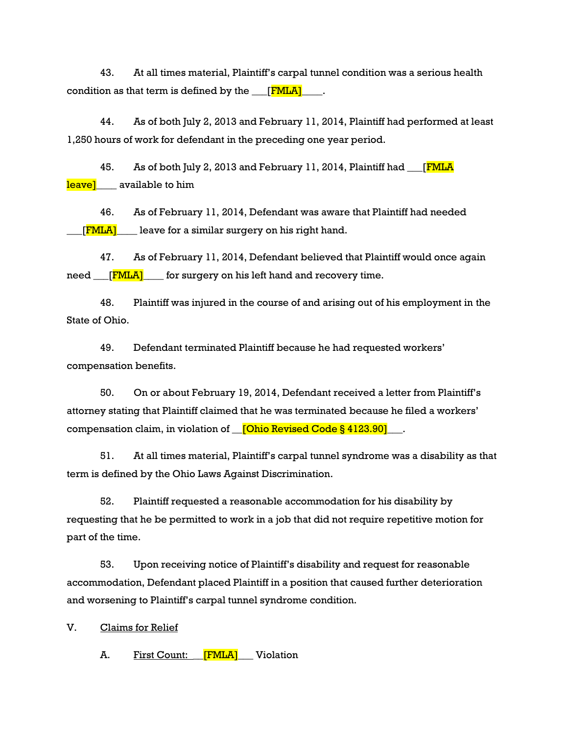43. At all times material, Plaintiff's carpal tunnel condition was a serious health condition as that term is defined by the  $_{\tiny \!\!\!\!\!\!\bot}$  [FMLA]

44. As of both July 2, 2013 and February 11, 2014, Plaintiff had performed at least 1,250 hours of work for defendant in the preceding one year period.

45. As of both July 2, 2013 and February 11, 2014, Plaintiff had <u>FMLA</u> leavel available to him

46. As of February 11, 2014, Defendant was aware that Plaintiff had needed  $[TMLA]$  leave for a similar surgery on his right hand.

47. As of February 11, 2014, Defendant believed that Plaintiff would once again  $need$  [  $\boxed{\text{FMLA}}$ ] for surgery on his left hand and recovery time.

48. Plaintiff was injured in the course of and arising out of his employment in the State of Ohio.

49. Defendant terminated Plaintiff because he had requested workers' compensation benefits.

50. On or about February 19, 2014, Defendant received a letter from Plaintiff's attorney stating that Plaintiff claimed that he was terminated because he filed a workers' compensation claim, in violation of **\_\_[Ohio Revised Code § 4123.90]**\_\_\_.

51. At all times material, Plaintiff's carpal tunnel syndrome was a disability as that term is defined by the Ohio Laws Against Discrimination.

52. Plaintiff requested a reasonable accommodation for his disability by requesting that he be permitted to work in a job that did not require repetitive motion for part of the time.

53. Upon receiving notice of Plaintiff's disability and request for reasonable accommodation, Defendant placed Plaintiff in a position that caused further deterioration and worsening to Plaintiff's carpal tunnel syndrome condition.

V. Claims for Relief

A. First Count: **FMLA** Violation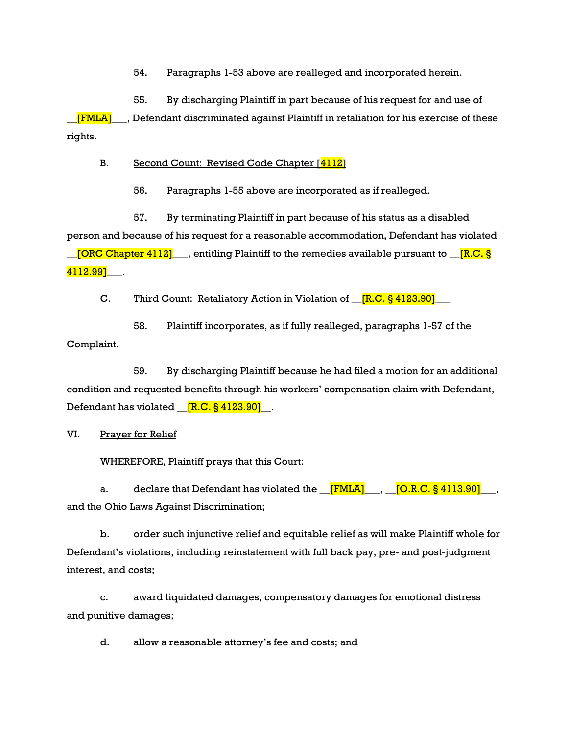54. Paragraphs 1-53 above are realleged and incorporated herein.

55. By discharging Plaintiff in part because of his request for and use of  $[FMLA]$ , Defendant discriminated against Plaintiff in retaliation for his exercise of these rights.

B. Second Count: Revised Code Chapter [4112]

56. Paragraphs 1-55 above are incorporated as if realleged.

57. By terminating Plaintiff in part because of his status as a disabled person and because of his request for a reasonable accommodation, Defendant has violated  $\Box$  [ORC Chapter 4112]  $\Box$ , entitling Plaintiff to the remedies available pursuant to  $\Box$  [R.C. § 4112.991 .

C. Third Count: Retaliatory Action in Violation of  $[R.C. \S 4123.90]$ 

58. Plaintiff incorporates, as if fully realleged, paragraphs 1-57 of the Complaint.

59. By discharging Plaintiff because he had filed a motion for an additional condition and requested benefits through his workers' compensation claim with Defendant, Defendant has violated  $\boxed{[R.C. § 4123.90]}$ .

VI. Prayer for Relief

WHEREFORE, Plaintiff prays that this Court:

a. declare that Defendant has violated the **FMLA** , O.R.C. § 4113.90 and the Ohio Laws Against Discrimination;

b. order such injunctive relief and equitable relief as will make Plaintiff whole for Defendant's violations, including reinstatement with full back pay, pre- and post-judgment interest, and costs;

c. award liquidated damages, compensatory damages for emotional distress and punitive damages;

d. allow a reasonable attorney's fee and costs; and